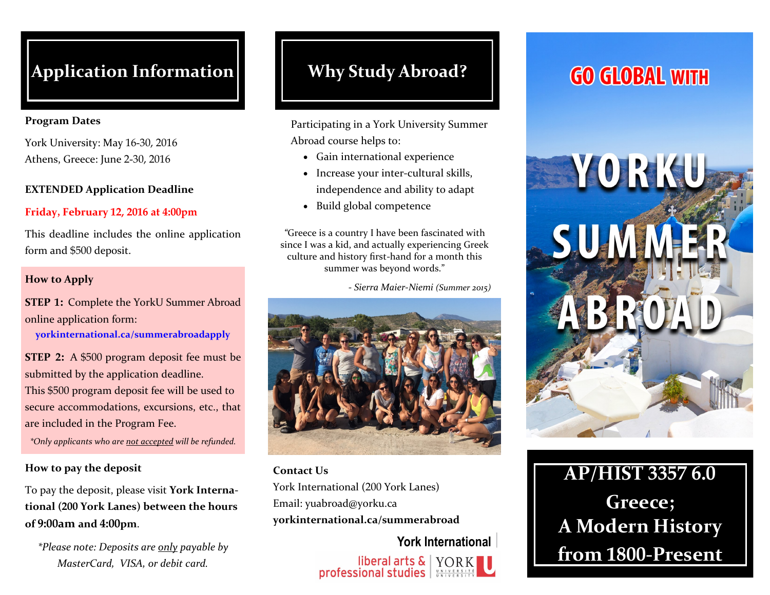## **Application Information Why Study Abroad?**

#### **Program Dates**

York University: May 16-30, 2016 Athens, Greece: June 2-30, 2016

#### **EXTENDED Application Deadline**

### **Friday, February 12, 2016 at 4:00pm**

This deadline includes the online application form and \$500 deposit.

#### **How to Apply**

**STEP 1:** Complete the YorkU Summer Abroad online application form:

**yorkinternational.ca/summerabroadapply**

**STEP 2:** A \$500 program deposit fee must be submitted by the application deadline.

This \$500 program deposit fee will be used to secure accommodations, excursions, etc., that are included in the Program Fee.

*\*Only applicants who are not accepted will be refunded.*

#### **How to pay the deposit**

To pay the deposit, please visit **York International (200 York Lanes) between the hours of 9:00am and 4:00pm**.

*\*Please note: Deposits are only payable by MasterCard, VISA, or debit card.* 

Participating in a York University Summer Abroad course helps to:

- Gain international experience
- Increase your inter-cultural skills, independence and ability to adapt
- Build global competence

*"*Greece is a country I have been fascinated with since I was a kid, and actually experiencing Greek culture and history first-hand for a month this summer was beyond words."

*- Sierra Maier-Niemi (Summer 2015)*



**Contact Us** York International (200 York Lanes) Email: yuabroad@yorku.ca **yorkinternational.ca/summerabroad**

> **York International**  liberal arts & TORK<br>professional studies

# **GO GLOBAL WITH**



# **AP/HIST 3357 6.0 Greece; A Modern History from 1800-Present**